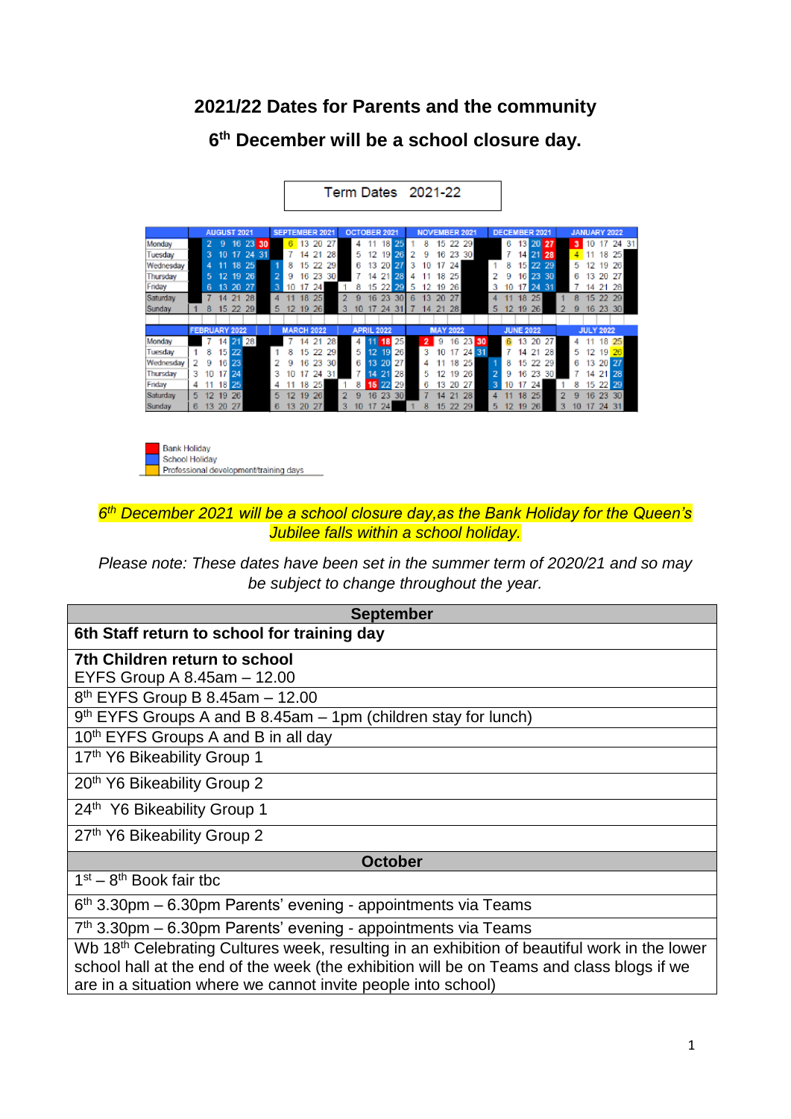# **2021/22 Dates for Parents and the community**

**6 th December will be a school closure day.**

| <b>DECEMBER 2021</b><br><b>AUGUST 2021</b><br><b>SEPTEMBER 2021</b><br>OCTOBER 2021<br><b>NOVEMBER 2021</b><br><b>JANUARY 2022</b><br>25<br>2<br>23<br>6<br>6<br>13 20 27<br>13<br>20<br>27<br>18 <sup>1</sup><br>8<br>15<br>22<br>29<br>9<br>16<br>11<br>3<br>Monday<br>30<br>10<br>17<br>4<br>24<br>31<br>28<br>7<br>21 28<br>18<br>25<br>17<br>21<br>26<br>16<br>23<br>3<br>10<br>12<br>2<br>9<br>30<br>14  <br>14<br>5<br>Tuesday<br>191<br>25<br>24<br>8<br>22<br>-29<br>٦B.<br>8<br>29<br>13 <sub>13</sub><br>27<br>3<br>5<br>26<br>15<br>22<br>10<br>1<br>15 I<br>6<br>201<br>19<br>Wednesday<br>4<br>17<br>2<br>23<br>26<br>28<br>30<br>12<br>23<br>30<br>25<br>2<br>20<br>27<br>19.<br>16<br>14<br>21<br>9<br>16 <sup>1</sup><br>9<br>18<br>13.<br>Thursday<br>5<br>4<br>Friday<br>27<br>3<br>24<br>22<br>24<br>13<br>20<br>17<br>15<br>20<br>5<br>26<br>3<br>17<br>31<br>21<br>6<br>10<br>8<br>12<br>28<br>19<br>10<br>14<br>28<br>18<br>25<br>23<br>27<br>25<br>21<br>16<br>30<br>6.<br>20<br>18<br>15<br>29<br>13<br>22<br>Saturday<br>9<br>8<br>14<br>4<br>4<br>8<br>24<br>15<br>22<br>29<br>5<br>12<br>19<br>26<br>3<br>12<br>19<br>26<br>16<br>23<br>31<br>21<br>28<br>5<br>30 <sup>1</sup><br>Sunday<br>10.<br>9<br>17<br>14<br><b>FEBRUARY 2022</b><br><b>MARCH 2022</b><br><b>APRIL 2022</b><br><b>MAY 2022</b><br><b>JUNE 2022</b><br><b>JULY 2022</b><br>14 21 28<br>25<br>25<br>7<br>28<br>11<br>16 23 30<br>20<br>27<br>18<br>Monday<br>21<br>2 <sub>1</sub><br>9<br>13<br>14<br>18<br>6<br>4<br>4<br>8<br>22<br>3<br>24 31<br>15 <sup>1</sup><br>8<br>29<br>5<br>12<br>19<br>26<br>28<br>Tuesday<br>15<br>22<br>10<br>17<br>21<br>5<br>12<br>19<br>14<br>-26<br>2<br>23<br>13<br>$-20$<br>20 27<br>Wednesday<br>23 30<br>27<br>25<br>9<br>16<br>6<br>18<br>8<br>22<br>29<br>$13 -$<br>9<br>16<br>15<br>24<br>$\overline{2}$<br>з<br>24<br>21<br>28<br>26<br>23<br>3<br>3 <sup>′</sup><br>5<br>9<br>16<br>30 <sup>1</sup><br>21 28<br>Thursday<br>17<br>17<br>14<br>12<br>19<br>10<br>14<br>10 |  |  |  |  |  |  |  |  |  |  |  |  |  |  |  |  |  |  |  |  |  |  |  |  |  |  |  |  |  |  |  |       |
|----------------------------------------------------------------------------------------------------------------------------------------------------------------------------------------------------------------------------------------------------------------------------------------------------------------------------------------------------------------------------------------------------------------------------------------------------------------------------------------------------------------------------------------------------------------------------------------------------------------------------------------------------------------------------------------------------------------------------------------------------------------------------------------------------------------------------------------------------------------------------------------------------------------------------------------------------------------------------------------------------------------------------------------------------------------------------------------------------------------------------------------------------------------------------------------------------------------------------------------------------------------------------------------------------------------------------------------------------------------------------------------------------------------------------------------------------------------------------------------------------------------------------------------------------------------------------------------------------------------------------------------------------------------------------------------------------------------------------------------------------------------------------------------------------------------------------------------------------------------------------------------------------------------------------------------------------------------------------------------------------------------------|--|--|--|--|--|--|--|--|--|--|--|--|--|--|--|--|--|--|--|--|--|--|--|--|--|--|--|--|--|--|--|-------|
|                                                                                                                                                                                                                                                                                                                                                                                                                                                                                                                                                                                                                                                                                                                                                                                                                                                                                                                                                                                                                                                                                                                                                                                                                                                                                                                                                                                                                                                                                                                                                                                                                                                                                                                                                                                                                                                                                                                                                                                                                      |  |  |  |  |  |  |  |  |  |  |  |  |  |  |  |  |  |  |  |  |  |  |  |  |  |  |  |  |  |  |  |       |
|                                                                                                                                                                                                                                                                                                                                                                                                                                                                                                                                                                                                                                                                                                                                                                                                                                                                                                                                                                                                                                                                                                                                                                                                                                                                                                                                                                                                                                                                                                                                                                                                                                                                                                                                                                                                                                                                                                                                                                                                                      |  |  |  |  |  |  |  |  |  |  |  |  |  |  |  |  |  |  |  |  |  |  |  |  |  |  |  |  |  |  |  |       |
|                                                                                                                                                                                                                                                                                                                                                                                                                                                                                                                                                                                                                                                                                                                                                                                                                                                                                                                                                                                                                                                                                                                                                                                                                                                                                                                                                                                                                                                                                                                                                                                                                                                                                                                                                                                                                                                                                                                                                                                                                      |  |  |  |  |  |  |  |  |  |  |  |  |  |  |  |  |  |  |  |  |  |  |  |  |  |  |  |  |  |  |  | 24 31 |
|                                                                                                                                                                                                                                                                                                                                                                                                                                                                                                                                                                                                                                                                                                                                                                                                                                                                                                                                                                                                                                                                                                                                                                                                                                                                                                                                                                                                                                                                                                                                                                                                                                                                                                                                                                                                                                                                                                                                                                                                                      |  |  |  |  |  |  |  |  |  |  |  |  |  |  |  |  |  |  |  |  |  |  |  |  |  |  |  |  |  |  |  |       |
|                                                                                                                                                                                                                                                                                                                                                                                                                                                                                                                                                                                                                                                                                                                                                                                                                                                                                                                                                                                                                                                                                                                                                                                                                                                                                                                                                                                                                                                                                                                                                                                                                                                                                                                                                                                                                                                                                                                                                                                                                      |  |  |  |  |  |  |  |  |  |  |  |  |  |  |  |  |  |  |  |  |  |  |  |  |  |  |  |  |  |  |  |       |
|                                                                                                                                                                                                                                                                                                                                                                                                                                                                                                                                                                                                                                                                                                                                                                                                                                                                                                                                                                                                                                                                                                                                                                                                                                                                                                                                                                                                                                                                                                                                                                                                                                                                                                                                                                                                                                                                                                                                                                                                                      |  |  |  |  |  |  |  |  |  |  |  |  |  |  |  |  |  |  |  |  |  |  |  |  |  |  |  |  |  |  |  |       |
|                                                                                                                                                                                                                                                                                                                                                                                                                                                                                                                                                                                                                                                                                                                                                                                                                                                                                                                                                                                                                                                                                                                                                                                                                                                                                                                                                                                                                                                                                                                                                                                                                                                                                                                                                                                                                                                                                                                                                                                                                      |  |  |  |  |  |  |  |  |  |  |  |  |  |  |  |  |  |  |  |  |  |  |  |  |  |  |  |  |  |  |  |       |
|                                                                                                                                                                                                                                                                                                                                                                                                                                                                                                                                                                                                                                                                                                                                                                                                                                                                                                                                                                                                                                                                                                                                                                                                                                                                                                                                                                                                                                                                                                                                                                                                                                                                                                                                                                                                                                                                                                                                                                                                                      |  |  |  |  |  |  |  |  |  |  |  |  |  |  |  |  |  |  |  |  |  |  |  |  |  |  |  |  |  |  |  |       |
|                                                                                                                                                                                                                                                                                                                                                                                                                                                                                                                                                                                                                                                                                                                                                                                                                                                                                                                                                                                                                                                                                                                                                                                                                                                                                                                                                                                                                                                                                                                                                                                                                                                                                                                                                                                                                                                                                                                                                                                                                      |  |  |  |  |  |  |  |  |  |  |  |  |  |  |  |  |  |  |  |  |  |  |  |  |  |  |  |  |  |  |  |       |
|                                                                                                                                                                                                                                                                                                                                                                                                                                                                                                                                                                                                                                                                                                                                                                                                                                                                                                                                                                                                                                                                                                                                                                                                                                                                                                                                                                                                                                                                                                                                                                                                                                                                                                                                                                                                                                                                                                                                                                                                                      |  |  |  |  |  |  |  |  |  |  |  |  |  |  |  |  |  |  |  |  |  |  |  |  |  |  |  |  |  |  |  |       |
|                                                                                                                                                                                                                                                                                                                                                                                                                                                                                                                                                                                                                                                                                                                                                                                                                                                                                                                                                                                                                                                                                                                                                                                                                                                                                                                                                                                                                                                                                                                                                                                                                                                                                                                                                                                                                                                                                                                                                                                                                      |  |  |  |  |  |  |  |  |  |  |  |  |  |  |  |  |  |  |  |  |  |  |  |  |  |  |  |  |  |  |  |       |
|                                                                                                                                                                                                                                                                                                                                                                                                                                                                                                                                                                                                                                                                                                                                                                                                                                                                                                                                                                                                                                                                                                                                                                                                                                                                                                                                                                                                                                                                                                                                                                                                                                                                                                                                                                                                                                                                                                                                                                                                                      |  |  |  |  |  |  |  |  |  |  |  |  |  |  |  |  |  |  |  |  |  |  |  |  |  |  |  |  |  |  |  |       |
|                                                                                                                                                                                                                                                                                                                                                                                                                                                                                                                                                                                                                                                                                                                                                                                                                                                                                                                                                                                                                                                                                                                                                                                                                                                                                                                                                                                                                                                                                                                                                                                                                                                                                                                                                                                                                                                                                                                                                                                                                      |  |  |  |  |  |  |  |  |  |  |  |  |  |  |  |  |  |  |  |  |  |  |  |  |  |  |  |  |  |  |  |       |
|                                                                                                                                                                                                                                                                                                                                                                                                                                                                                                                                                                                                                                                                                                                                                                                                                                                                                                                                                                                                                                                                                                                                                                                                                                                                                                                                                                                                                                                                                                                                                                                                                                                                                                                                                                                                                                                                                                                                                                                                                      |  |  |  |  |  |  |  |  |  |  |  |  |  |  |  |  |  |  |  |  |  |  |  |  |  |  |  |  |  |  |  |       |
|                                                                                                                                                                                                                                                                                                                                                                                                                                                                                                                                                                                                                                                                                                                                                                                                                                                                                                                                                                                                                                                                                                                                                                                                                                                                                                                                                                                                                                                                                                                                                                                                                                                                                                                                                                                                                                                                                                                                                                                                                      |  |  |  |  |  |  |  |  |  |  |  |  |  |  |  |  |  |  |  |  |  |  |  |  |  |  |  |  |  |  |  |       |
| 25<br>8<br>$15^{22}$<br>3<br>Friday<br>18<br>25<br>29<br>13<br>-27<br>24<br>8<br>29<br>18<br>6<br>20<br>10<br>15<br>22<br>4<br>4                                                                                                                                                                                                                                                                                                                                                                                                                                                                                                                                                                                                                                                                                                                                                                                                                                                                                                                                                                                                                                                                                                                                                                                                                                                                                                                                                                                                                                                                                                                                                                                                                                                                                                                                                                                                                                                                                     |  |  |  |  |  |  |  |  |  |  |  |  |  |  |  |  |  |  |  |  |  |  |  |  |  |  |  |  |  |  |  |       |
| 26<br>28<br>30 <sup>1</sup><br>Saturday<br>26<br>2<br>23<br>30 <sub>1</sub><br>2 <sup>1</sup><br>18<br>25<br>16<br>23<br>5<br>12<br>19<br>16<br>9<br>5.<br>9<br>14<br>19<br>4                                                                                                                                                                                                                                                                                                                                                                                                                                                                                                                                                                                                                                                                                                                                                                                                                                                                                                                                                                                                                                                                                                                                                                                                                                                                                                                                                                                                                                                                                                                                                                                                                                                                                                                                                                                                                                        |  |  |  |  |  |  |  |  |  |  |  |  |  |  |  |  |  |  |  |  |  |  |  |  |  |  |  |  |  |  |  |       |
| 27<br>27<br>8<br>15 <sub>15</sub><br>20<br>20<br>3<br>22<br>29<br>3<br>6<br>13<br>13<br>26<br>24<br>31<br>Sunday<br>6<br>10<br>24<br>5<br>10<br>12<br>17<br>19<br>17                                                                                                                                                                                                                                                                                                                                                                                                                                                                                                                                                                                                                                                                                                                                                                                                                                                                                                                                                                                                                                                                                                                                                                                                                                                                                                                                                                                                                                                                                                                                                                                                                                                                                                                                                                                                                                                 |  |  |  |  |  |  |  |  |  |  |  |  |  |  |  |  |  |  |  |  |  |  |  |  |  |  |  |  |  |  |  |       |

Term Dates 2021-22



### *6 th December 2021 will be a school closure day,as the Bank Holiday for the Queen's Jubilee falls within a school holiday.*

*Please note: These dates have been set in the summer term of 2020/21 and so may be subject to change throughout the year.* 

| <b>September</b>                                                                                                                                                                                      |
|-------------------------------------------------------------------------------------------------------------------------------------------------------------------------------------------------------|
| 6th Staff return to school for training day                                                                                                                                                           |
| 7th Children return to school                                                                                                                                                                         |
| EYFS Group A $8.45$ am $-12.00$                                                                                                                                                                       |
| 8 <sup>th</sup> EYFS Group B 8.45am - 12.00                                                                                                                                                           |
| $9th$ EYFS Groups A and B 8.45am – 1pm (children stay for lunch)                                                                                                                                      |
| 10th EYFS Groups A and B in all day                                                                                                                                                                   |
| 17th Y6 Bikeability Group 1                                                                                                                                                                           |
| 20 <sup>th</sup> Y6 Bikeability Group 2                                                                                                                                                               |
| 24th Y6 Bikeability Group 1                                                                                                                                                                           |
| 27th Y6 Bikeability Group 2                                                                                                                                                                           |
| <b>October</b>                                                                                                                                                                                        |
| $1st - 8th$ Book fair tbc                                                                                                                                                                             |
| $6th$ 3.30pm – 6.30pm Parents' evening - appointments via Teams                                                                                                                                       |
| $7th$ 3.30pm – 6.30pm Parents' evening - appointments via Teams                                                                                                                                       |
| Wb 18 <sup>th</sup> Celebrating Cultures week, resulting in an exhibition of beautiful work in the lower<br>school hall at the end of the week (the exhibition will be on Teams and class blogs if we |

are in a situation where we cannot invite people into school)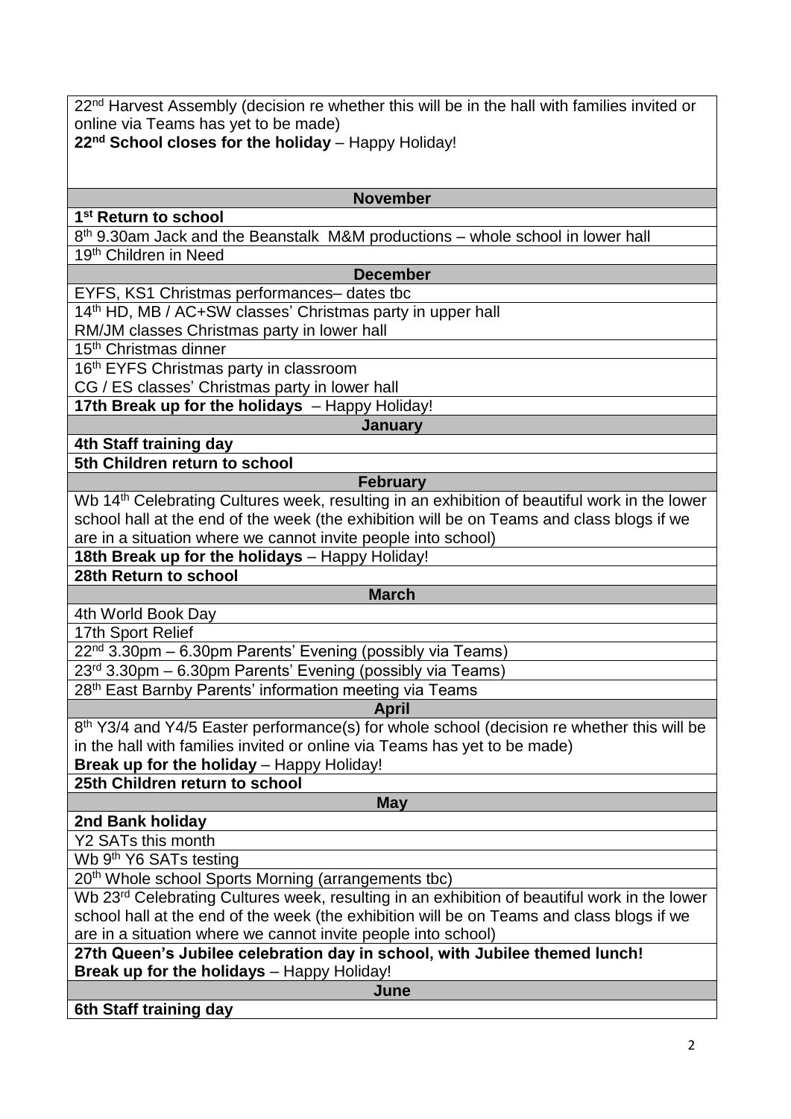22<sup>nd</sup> Harvest Assembly (decision re whether this will be in the hall with families invited or online via Teams has yet to be made)

**22nd School closes for the holiday** – Happy Holiday!

# **1 st Return to school**

**November**

8<sup>th</sup> 9.30am Jack and the Beanstalk M&M productions – whole school in lower hall 19th Children in Need

**December**

EYFS, KS1 Christmas performances– dates tbc

14<sup>th</sup> HD, MB / AC+SW classes' Christmas party in upper hall

RM/JM classes Christmas party in lower hall

15<sup>th</sup> Christmas dinner

16<sup>th</sup> EYFS Christmas party in classroom

CG / ES classes' Christmas party in lower hall

**17th Break up for the holidays** – Happy Holiday!

#### **January**

**4th Staff training day 5th Children return to school** 

# **February**

Wb 14<sup>th</sup> Celebrating Cultures week, resulting in an exhibition of beautiful work in the lower school hall at the end of the week (the exhibition will be on Teams and class blogs if we are in a situation where we cannot invite people into school)

**18th Break up for the holidays** – Happy Holiday!

**28th Return to school**

#### **March**

4th World Book Day

17th Sport Relief

22<sup>nd</sup> 3.30pm – 6.30pm Parents' Evening (possibly via Teams)

23rd 3.30pm – 6.30pm Parents' Evening (possibly via Teams)

28<sup>th</sup> East Barnby Parents' information meeting via Teams

#### **April**

8<sup>th</sup> Y3/4 and Y4/5 Easter performance(s) for whole school (decision re whether this will be in the hall with families invited or online via Teams has yet to be made)

**Break up for the holiday – Happy Holiday!** 

**25th Children return to school**

## **2nd Bank holiday**

**May**

Y2 SATs this month

Wb 9<sup>th</sup> Y6 SATs testing

20th Whole school Sports Morning (arrangements tbc)

Wb 23<sup>rd</sup> Celebrating Cultures week, resulting in an exhibition of beautiful work in the lower school hall at the end of the week (the exhibition will be on Teams and class blogs if we are in a situation where we cannot invite people into school)

**27th Queen's Jubilee celebration day in school, with Jubilee themed lunch! Break up for the holidays** - Happy Holiday!

**June**

**6th Staff training day**